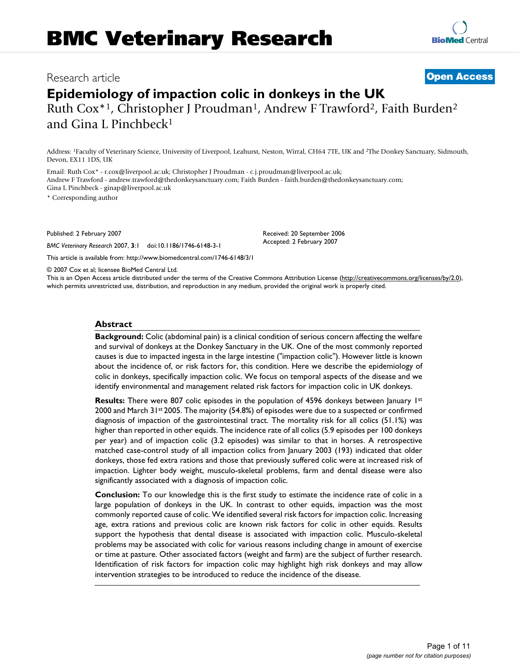# Research article **[Open Access](http://www.biomedcentral.com/info/about/charter/)**

# **Epidemiology of impaction colic in donkeys in the UK** Ruth Cox<sup>\*1</sup>, Christopher J Proudman<sup>1</sup>, Andrew F Trawford<sup>2</sup>, Faith Burden<sup>2</sup> and Gina L Pinchbeck1

Address: 1Faculty of Veterinary Science, University of Liverpool, Leahurst, Neston, Wirral, CH64 7TE, UK and 2The Donkey Sanctuary, Sidmouth, Devon, EX11 1DS, UK

Email: Ruth Cox\* - r.cox@liverpool.ac.uk; Christopher J Proudman - c.j.proudman@liverpool.ac.uk; Andrew F Trawford - andrew.trawford@thedonkeysanctuary.com; Faith Burden - faith.burden@thedonkeysanctuary.com; Gina L Pinchbeck - ginap@liverpool.ac.uk

\* Corresponding author

Published: 2 February 2007

*BMC Veterinary Research* 2007, **3**:1 doi:10.1186/1746-6148-3-1

[This article is available from: http://www.biomedcentral.com/1746-6148/3/1](http://www.biomedcentral.com/1746-6148/3/1)

© 2007 Cox et al; licensee BioMed Central Ltd.

This is an Open Access article distributed under the terms of the Creative Commons Attribution License [\(http://creativecommons.org/licenses/by/2.0\)](http://creativecommons.org/licenses/by/2.0), which permits unrestricted use, distribution, and reproduction in any medium, provided the original work is properly cited.

#### **Abstract**

**Background:** Colic (abdominal pain) is a clinical condition of serious concern affecting the welfare and survival of donkeys at the Donkey Sanctuary in the UK. One of the most commonly reported causes is due to impacted ingesta in the large intestine ("impaction colic"). However little is known about the incidence of, or risk factors for, this condition. Here we describe the epidemiology of colic in donkeys, specifically impaction colic. We focus on temporal aspects of the disease and we identify environmental and management related risk factors for impaction colic in UK donkeys.

**Results:** There were 807 colic episodes in the population of 4596 donkeys between January 1st 2000 and March 31st 2005. The majority (54.8%) of episodes were due to a suspected or confirmed diagnosis of impaction of the gastrointestinal tract. The mortality risk for all colics (51.1%) was higher than reported in other equids. The incidence rate of all colics (5.9 episodes per 100 donkeys per year) and of impaction colic (3.2 episodes) was similar to that in horses. A retrospective matched case-control study of all impaction colics from January 2003 (193) indicated that older donkeys, those fed extra rations and those that previously suffered colic were at increased risk of impaction. Lighter body weight, musculo-skeletal problems, farm and dental disease were also significantly associated with a diagnosis of impaction colic.

**Conclusion:** To our knowledge this is the first study to estimate the incidence rate of colic in a large population of donkeys in the UK. In contrast to other equids, impaction was the most commonly reported cause of colic. We identified several risk factors for impaction colic. Increasing age, extra rations and previous colic are known risk factors for colic in other equids. Results support the hypothesis that dental disease is associated with impaction colic. Musculo-skeletal problems may be associated with colic for various reasons including change in amount of exercise or time at pasture. Other associated factors (weight and farm) are the subject of further research. Identification of risk factors for impaction colic may highlight high risk donkeys and may allow intervention strategies to be introduced to reduce the incidence of the disease.

Received: 20 September 2006 Accepted: 2 February 2007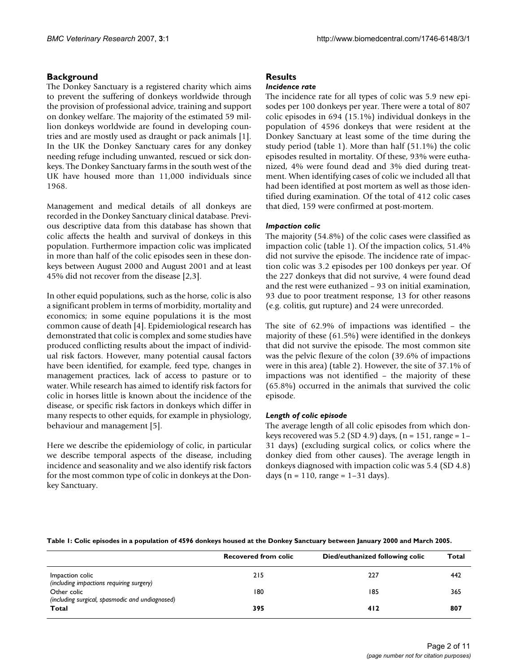#### **Background**

The Donkey Sanctuary is a registered charity which aims to prevent the suffering of donkeys worldwide through the provision of professional advice, training and support on donkey welfare. The majority of the estimated 59 million donkeys worldwide are found in developing countries and are mostly used as draught or pack animals [1]. In the UK the Donkey Sanctuary cares for any donkey needing refuge including unwanted, rescued or sick donkeys. The Donkey Sanctuary farms in the south west of the UK have housed more than 11,000 individuals since 1968.

Management and medical details of all donkeys are recorded in the Donkey Sanctuary clinical database. Previous descriptive data from this database has shown that colic affects the health and survival of donkeys in this population. Furthermore impaction colic was implicated in more than half of the colic episodes seen in these donkeys between August 2000 and August 2001 and at least 45% did not recover from the disease [2,3].

In other equid populations, such as the horse, colic is also a significant problem in terms of morbidity, mortality and economics; in some equine populations it is the most common cause of death [4]. Epidemiological research has demonstrated that colic is complex and some studies have produced conflicting results about the impact of individual risk factors. However, many potential causal factors have been identified, for example, feed type, changes in management practices, lack of access to pasture or to water. While research has aimed to identify risk factors for colic in horses little is known about the incidence of the disease, or specific risk factors in donkeys which differ in many respects to other equids, for example in physiology, behaviour and management [5].

Here we describe the epidemiology of colic, in particular we describe temporal aspects of the disease, including incidence and seasonality and we also identify risk factors for the most common type of colic in donkeys at the Donkey Sanctuary.

# **Results**

#### *Incidence rate*

The incidence rate for all types of colic was 5.9 new episodes per 100 donkeys per year. There were a total of 807 colic episodes in 694 (15.1%) individual donkeys in the population of 4596 donkeys that were resident at the Donkey Sanctuary at least some of the time during the study period (table 1). More than half (51.1%) the colic episodes resulted in mortality. Of these, 93% were euthanized, 4% were found dead and 3% died during treatment. When identifying cases of colic we included all that had been identified at post mortem as well as those identified during examination. Of the total of 412 colic cases that died, 159 were confirmed at post-mortem.

#### *Impaction colic*

The majority (54.8%) of the colic cases were classified as impaction colic (table 1). Of the impaction colics, 51.4% did not survive the episode. The incidence rate of impaction colic was 3.2 episodes per 100 donkeys per year. Of the 227 donkeys that did not survive, 4 were found dead and the rest were euthanized – 93 on initial examination, 93 due to poor treatment response, 13 for other reasons (e.g. colitis, gut rupture) and 24 were unrecorded.

The site of 62.9% of impactions was identified – the majority of these (61.5%) were identified in the donkeys that did not survive the episode. The most common site was the pelvic flexure of the colon (39.6% of impactions were in this area) (table 2). However, the site of 37.1% of impactions was not identified – the majority of these (65.8%) occurred in the animals that survived the colic episode.

#### *Length of colic episode*

The average length of all colic episodes from which donkeys recovered was  $5.2$  (SD  $4.9$ ) days, (n = 151, range = 1– 31 days) (excluding surgical colics, or colics where the donkey died from other causes). The average length in donkeys diagnosed with impaction colic was 5.4 (SD 4.8) days ( $n = 110$ , range = 1-31 days).

**Table 1: Colic episodes in a population of 4596 donkeys housed at the Donkey Sanctuary between January 2000 and March 2005.**

|                                                                | <b>Recovered from colic</b> | Died/euthanized following colic | Total |
|----------------------------------------------------------------|-----------------------------|---------------------------------|-------|
| Impaction colic<br>(including impactions requiring surgery)    | 215                         | 227                             | 442   |
| Other colic<br>(including surgical, spasmodic and undiagnosed) | 180                         | 185                             | 365   |
| Total                                                          | 395                         | 412                             | 807   |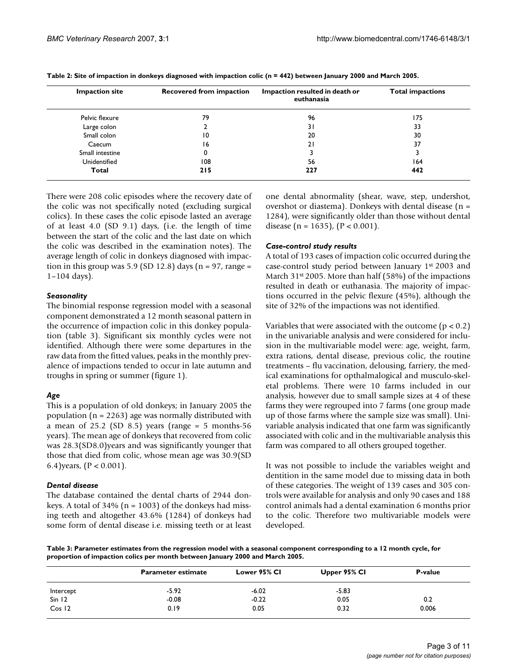| <b>Impaction site</b> | <b>Recovered from impaction</b> | Impaction resulted in death or<br>euthanasia | <b>Total impactions</b> |
|-----------------------|---------------------------------|----------------------------------------------|-------------------------|
| Pelvic flexure        | 79                              | 96                                           | 175                     |
| Large colon           |                                 | 31                                           | 33                      |
| Small colon           | 10                              | 20                                           | 30                      |
| Caecum                | 16                              | 21                                           | 37                      |
| Small intestine       | 0                               |                                              |                         |
| Unidentified          | 108                             | 56                                           | 164                     |
| Total                 | 215                             | 227                                          | 442                     |

**Table 2: Site of impaction in donkeys diagnosed with impaction colic (n = 442) between January 2000 and March 2005.**

There were 208 colic episodes where the recovery date of the colic was not specifically noted (excluding surgical colics). In these cases the colic episode lasted an average of at least 4.0 (SD 9.1) days, (i.e. the length of time between the start of the colic and the last date on which the colic was described in the examination notes). The average length of colic in donkeys diagnosed with impaction in this group was 5.9 (SD 12.8) days ( $n = 97$ , range = 1–104 days).

#### *Seasonality*

The binomial response regression model with a seasonal component demonstrated a 12 month seasonal pattern in the occurrence of impaction colic in this donkey population (table 3). Significant six monthly cycles were not identified. Although there were some departures in the raw data from the fitted values, peaks in the monthly prevalence of impactions tended to occur in late autumn and troughs in spring or summer (figure 1).

#### *Age*

This is a population of old donkeys; in January 2005 the population (n = 2263) age was normally distributed with a mean of  $25.2$  (SD  $8.5$ ) years (range = 5 months-56 years). The mean age of donkeys that recovered from colic was 28.3(SD8.0)years and was significantly younger that those that died from colic, whose mean age was 30.9(SD 6.4) years,  $(P < 0.001)$ .

#### *Dental disease*

The database contained the dental charts of 2944 donkeys. A total of  $34\%$  (n = 1003) of the donkeys had missing teeth and altogether 43.6% (1284) of donkeys had some form of dental disease i.e. missing teeth or at least one dental abnormality (shear, wave, step, undershot, overshot or diastema). Donkeys with dental disease (n = 1284), were significantly older than those without dental disease (n = 1635), (P < 0.001).

#### *Case-control study results*

A total of 193 cases of impaction colic occurred during the case-control study period between January 1st 2003 and March 31st 2005. More than half (58%) of the impactions resulted in death or euthanasia. The majority of impactions occurred in the pelvic flexure (45%), although the site of 32% of the impactions was not identified.

Variables that were associated with the outcome ( $p < 0.2$ ) in the univariable analysis and were considered for inclusion in the multivariable model were: age, weight, farm, extra rations, dental disease, previous colic, the routine treatments – flu vaccination, delousing, farriery, the medical examinations for opthalmalogical and musculo-skeletal problems. There were 10 farms included in our analysis, however due to small sample sizes at 4 of these farms they were regrouped into 7 farms (one group made up of those farms where the sample size was small). Univariable analysis indicated that one farm was significantly associated with colic and in the multivariable analysis this farm was compared to all others grouped together.

It was not possible to include the variables weight and dentition in the same model due to missing data in both of these categories. The weight of 139 cases and 305 controls were available for analysis and only 90 cases and 188 control animals had a dental examination 6 months prior to the colic. Therefore two multivariable models were developed.

**Table 3: Parameter estimates from the regression model with a seasonal component corresponding to a 12 month cycle, for proportion of impaction colics per month between January 2000 and March 2005.**

|           | Parameter estimate | Lower 95% CI | Upper 95% CI | <b>P-value</b> |
|-----------|--------------------|--------------|--------------|----------------|
| Intercept | $-5.92$            | $-6.02$      | $-5.83$      |                |
| Sin 12    | $-0.08$            | $-0.22$      | 0.05         | 0.2            |
| Cos 12    | 0.19               | 0.05         | 0.32         | 0.006          |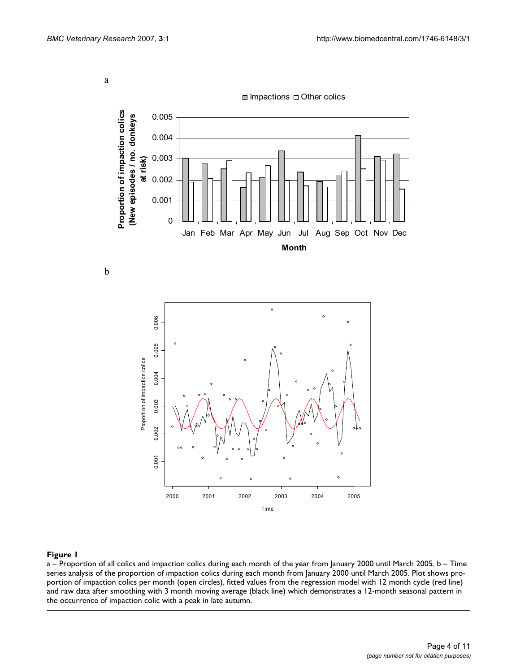a

 $\Box$  Impactions  $\Box$  Other colics



b



#### **Figure 1** and impaction of all collection collection collection collection collection collection collection coll

a – Proportion of all colics and impaction colics during each month of the year from January 2000 until March 2005. b – Time series analysis of the proportion of impaction colics during each month from January 2000 until March 2005. Plot shows proportion of impaction colics per month (open circles), fitted values from the regression model with 12 month cycle (red line) and raw data after smoothing with 3 month moving average (black line) which demonstrates a 12-month seasonal pattern in the occurrence of impaction colic with a peak in late autumn.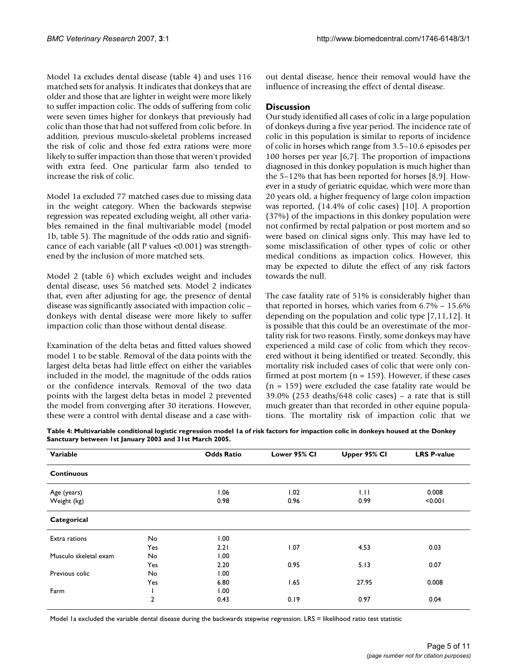Model 1a excludes dental disease (table 4) and uses 116 matched sets for analysis. It indicates that donkeys that are older and those that are lighter in weight were more likely to suffer impaction colic. The odds of suffering from colic were seven times higher for donkeys that previously had colic than those that had not suffered from colic before. In addition, previous musculo-skeletal problems increased the risk of colic and those fed extra rations were more likely to suffer impaction than those that weren't provided with extra feed. One particular farm also tended to increase the risk of colic.

Model 1a excluded 77 matched cases due to missing data in the weight category. When the backwards stepwise regression was repeated excluding weight, all other variables remained in the final multivariable model (model 1b, table 5). The magnitude of the odds ratio and significance of each variable (all P values <0.001) was strengthened by the inclusion of more matched sets.

Model 2 (table 6) which excludes weight and includes dental disease, uses 56 matched sets. Model 2 indicates that, even after adjusting for age, the presence of dental disease was significantly associated with impaction colic – donkeys with dental disease were more likely to suffer impaction colic than those without dental disease.

Examination of the delta betas and fitted values showed model 1 to be stable. Removal of the data points with the largest delta betas had little effect on either the variables included in the model, the magnitude of the odds ratios or the confidence intervals. Removal of the two data points with the largest delta betas in model 2 prevented the model from converging after 30 iterations. However, these were a control with dental disease and a case without dental disease, hence their removal would have the influence of increasing the effect of dental disease.

### **Discussion**

Our study identified all cases of colic in a large population of donkeys during a five year period. The incidence rate of colic in this population is similar to reports of incidence of colic in horses which range from 3.5–10.6 episodes per 100 horses per year [6,7]. The proportion of impactions diagnosed in this donkey population is much higher than the 5–12% that has been reported for horses [8,9]. However in a study of geriatric equidae, which were more than 20 years old, a higher frequency of large colon impaction was reported, (14.4% of colic cases) [10]. A proportion (37%) of the impactions in this donkey population were not confirmed by rectal palpation or post mortem and so were based on clinical signs only. This may have led to some misclassification of other types of colic or other medical conditions as impaction colics. However, this may be expected to dilute the effect of any risk factors towards the null.

The case fatality rate of 51% is considerably higher than that reported in horses, which varies from 6.7% – 15.6% depending on the population and colic type [7,11,12]. It is possible that this could be an overestimate of the mortality risk for two reasons. Firstly, some donkeys may have experienced a mild case of colic from which they recovered without it being identified or treated. Secondly, this mortality risk included cases of colic that were only confirmed at post mortem  $(n = 159)$ . However, if these cases  $(n = 159)$  were excluded the case fatality rate would be 39.0% (253 deaths/648 colic cases) – a rate that is still much greater than that recorded in other equine populations. The mortality risk of impaction colic that we

**Table 4: Multivariable conditional logistic regression model 1a of risk factors for impaction colic in donkeys housed at the Donkey Sanctuary between 1st January 2003 and 31st March 2005.**

| Variable              |                | <b>Odds Ratio</b> | Lower 95% CI | Upper 95% CI | <b>LRS P-value</b> |
|-----------------------|----------------|-------------------|--------------|--------------|--------------------|
| <b>Continuous</b>     |                |                   |              |              |                    |
| Age (years)           |                | 1.06              | 1.02         | 1.11         | 0.008              |
| Weight (kg)           |                | 0.98              | 0.96         | 0.99         | < 0.001            |
| Categorical           |                |                   |              |              |                    |
| Extra rations         | No             | 1.00              |              |              |                    |
|                       | Yes            | 2.21              | 1.07         | 4.53         | 0.03               |
| Musculo skeletal exam | No             | 1.00              |              |              |                    |
|                       | Yes            | 2.20              | 0.95         | 5.13         | 0.07               |
| Previous colic        | No             | 1.00              |              |              |                    |
|                       | Yes            | 6.80              | 1.65         | 27.95        | 0.008              |
| Farm                  |                | 1.00              |              |              |                    |
|                       | $\overline{2}$ | 0.43              | 0.19         | 0.97         | 0.04               |

Model 1a excluded the variable dental disease during the backwards stepwise regression. LRS = likelihood ratio test statistic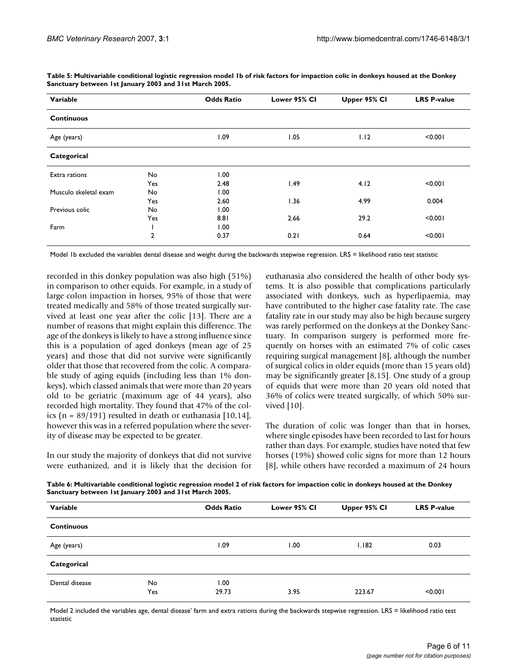| Variable              |                | <b>Odds Ratio</b> | Lower 95% CI | Upper 95% CI | <b>LRS P-value</b> |
|-----------------------|----------------|-------------------|--------------|--------------|--------------------|
| <b>Continuous</b>     |                |                   |              |              |                    |
| Age (years)           |                | 1.09              | 1.05         | 1.12         | < 0.001            |
| Categorical           |                |                   |              |              |                    |
| Extra rations         | No             | 1.00              |              |              |                    |
|                       | Yes            | 2.48              | 1.49         | 4.12         | < 0.001            |
| Musculo skeletal exam | No             | 1.00              |              |              |                    |
|                       | Yes            | 2.60              | 1.36         | 4.99         | 0.004              |
| Previous colic        | No             | 1.00              |              |              |                    |
|                       | Yes            | 8.81              | 2.66         | 29.2         | < 0.001            |
| Farm                  |                | 1.00              |              |              |                    |
|                       | $\overline{2}$ | 0.37              | 0.21         | 0.64         | < 0.001            |

**Table 5: Multivariable conditional logistic regression model 1b of risk factors for impaction colic in donkeys housed at the Donkey Sanctuary between 1st January 2003 and 31st March 2005.**

Model 1b excluded the variables dental disease and weight during the backwards stepwise regression. LRS = likelihood ratio test statistic

recorded in this donkey population was also high (51%) in comparison to other equids. For example, in a study of large colon impaction in horses, 95% of those that were treated medically and 58% of those treated surgically survived at least one year after the colic [13]. There are a number of reasons that might explain this difference. The age of the donkeys is likely to have a strong influence since this is a population of aged donkeys (mean age of 25 years) and those that did not survive were significantly older that those that recovered from the colic. A comparable study of aging equids (including less than 1% donkeys), which classed animals that were more than 20 years old to be geriatric (maximum age of 44 years), also recorded high mortality. They found that 47% of the colics (n =  $89/191$ ) resulted in death or euthanasia [10,14], however this was in a referred population where the severity of disease may be expected to be greater.

In our study the majority of donkeys that did not survive were euthanized, and it is likely that the decision for euthanasia also considered the health of other body systems. It is also possible that complications particularly associated with donkeys, such as hyperlipaemia, may have contributed to the higher case fatality rate. The case fatality rate in our study may also be high because surgery was rarely performed on the donkeys at the Donkey Sanctuary. In comparison surgery is performed more frequently on horses with an estimated 7% of colic cases requiring surgical management [8], although the number of surgical colics in older equids (more than 15 years old) may be significantly greater [8,15]. One study of a group of equids that were more than 20 years old noted that 36% of colics were treated surgically, of which 50% survived [10].

The duration of colic was longer than that in horses, where single episodes have been recorded to last for hours rather than days. For example, studies have noted that few horses (19%) showed colic signs for more than 12 hours [8], while others have recorded a maximum of 24 hours

**Table 6: Multivariable conditional logistic regression model 2 of risk factors for impaction colic in donkeys housed at the Donkey Sanctuary between 1st January 2003 and 31st March 2005.**

| Variable          |           | <b>Odds Ratio</b> | Lower 95% CI | Upper 95% CI | <b>LRS P-value</b> |
|-------------------|-----------|-------------------|--------------|--------------|--------------------|
| <b>Continuous</b> |           |                   |              |              |                    |
| Age (years)       |           | 1.09              | 1.00         | 1.182        | 0.03               |
| Categorical       |           |                   |              |              |                    |
| Dental disease    | No<br>Yes | 1.00<br>29.73     | 3.95         | 223.67       | < 0.001            |

Model 2 included the variables age, dental disease' farm and extra rations during the backwards stepwise regression. LRS = likelihood ratio test statistic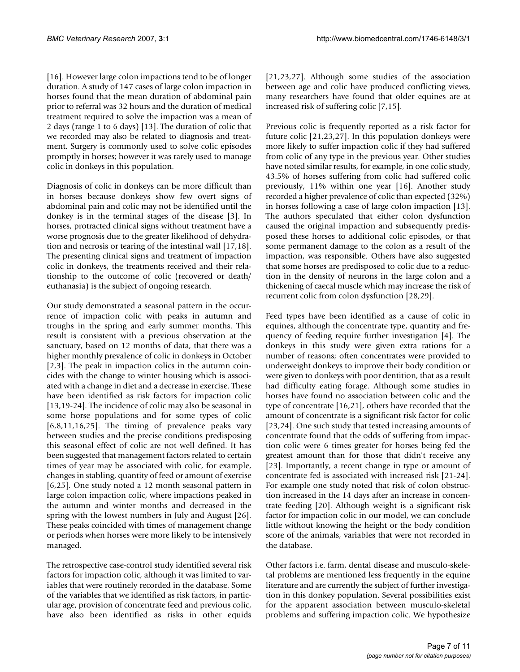[16]. However large colon impactions tend to be of longer duration. A study of 147 cases of large colon impaction in horses found that the mean duration of abdominal pain prior to referral was 32 hours and the duration of medical treatment required to solve the impaction was a mean of 2 days (range 1 to 6 days) [13]. The duration of colic that we recorded may also be related to diagnosis and treatment. Surgery is commonly used to solve colic episodes promptly in horses; however it was rarely used to manage colic in donkeys in this population.

Diagnosis of colic in donkeys can be more difficult than in horses because donkeys show few overt signs of abdominal pain and colic may not be identified until the donkey is in the terminal stages of the disease [3]. In horses, protracted clinical signs without treatment have a worse prognosis due to the greater likelihood of dehydration and necrosis or tearing of the intestinal wall [17,18]. The presenting clinical signs and treatment of impaction colic in donkeys, the treatments received and their relationship to the outcome of colic (recovered or death/ euthanasia) is the subject of ongoing research.

Our study demonstrated a seasonal pattern in the occurrence of impaction colic with peaks in autumn and troughs in the spring and early summer months. This result is consistent with a previous observation at the sanctuary, based on 12 months of data, that there was a higher monthly prevalence of colic in donkeys in October [2,3]. The peak in impaction colics in the autumn coincides with the change to winter housing which is associated with a change in diet and a decrease in exercise. These have been identified as risk factors for impaction colic [13,19-24]. The incidence of colic may also be seasonal in some horse populations and for some types of colic [6,8,11,16,25]. The timing of prevalence peaks vary between studies and the precise conditions predisposing this seasonal effect of colic are not well defined. It has been suggested that management factors related to certain times of year may be associated with colic, for example, changes in stabling, quantity of feed or amount of exercise [6,25]. One study noted a 12 month seasonal pattern in large colon impaction colic, where impactions peaked in the autumn and winter months and decreased in the spring with the lowest numbers in July and August [26]. These peaks coincided with times of management change or periods when horses were more likely to be intensively managed.

The retrospective case-control study identified several risk factors for impaction colic, although it was limited to variables that were routinely recorded in the database. Some of the variables that we identified as risk factors, in particular age, provision of concentrate feed and previous colic, have also been identified as risks in other equids [21,23,27]. Although some studies of the association between age and colic have produced conflicting views, many researchers have found that older equines are at increased risk of suffering colic [7,15].

Previous colic is frequently reported as a risk factor for future colic [21,23,27]. In this population donkeys were more likely to suffer impaction colic if they had suffered from colic of any type in the previous year. Other studies have noted similar results, for example, in one colic study, 43.5% of horses suffering from colic had suffered colic previously, 11% within one year [16]. Another study recorded a higher prevalence of colic than expected (32%) in horses following a case of large colon impaction [13]. The authors speculated that either colon dysfunction caused the original impaction and subsequently predisposed these horses to additional colic episodes, or that some permanent damage to the colon as a result of the impaction, was responsible. Others have also suggested that some horses are predisposed to colic due to a reduction in the density of neurons in the large colon and a thickening of caecal muscle which may increase the risk of recurrent colic from colon dysfunction [28,29].

Feed types have been identified as a cause of colic in equines, although the concentrate type, quantity and frequency of feeding require further investigation [4]. The donkeys in this study were given extra rations for a number of reasons; often concentrates were provided to underweight donkeys to improve their body condition or were given to donkeys with poor dentition, that as a result had difficulty eating forage. Although some studies in horses have found no association between colic and the type of concentrate [16,21], others have recorded that the amount of concentrate is a significant risk factor for colic [23,24]. One such study that tested increasing amounts of concentrate found that the odds of suffering from impaction colic were 6 times greater for horses being fed the greatest amount than for those that didn't receive any [23]. Importantly, a recent change in type or amount of concentrate fed is associated with increased risk [21-24]. For example one study noted that risk of colon obstruction increased in the 14 days after an increase in concentrate feeding [20]. Although weight is a significant risk factor for impaction colic in our model, we can conclude little without knowing the height or the body condition score of the animals, variables that were not recorded in the database.

Other factors i.e. farm, dental disease and musculo-skeletal problems are mentioned less frequently in the equine literature and are currently the subject of further investigation in this donkey population. Several possibilities exist for the apparent association between musculo-skeletal problems and suffering impaction colic. We hypothesize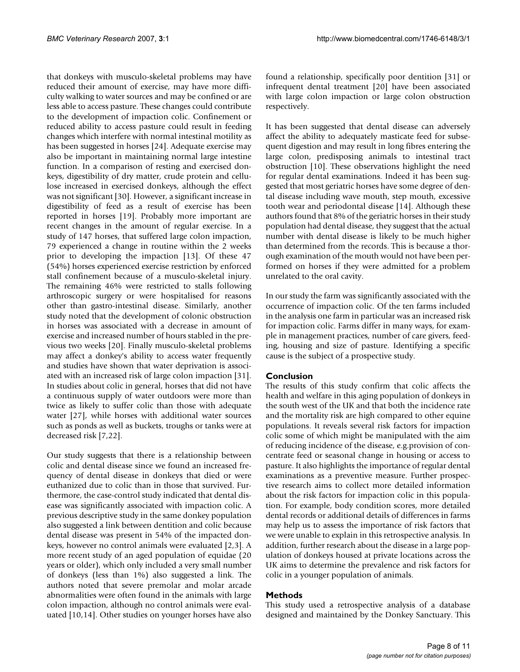that donkeys with musculo-skeletal problems may have reduced their amount of exercise, may have more difficulty walking to water sources and may be confined or are less able to access pasture. These changes could contribute to the development of impaction colic. Confinement or reduced ability to access pasture could result in feeding changes which interfere with normal intestinal motility as has been suggested in horses [24]. Adequate exercise may also be important in maintaining normal large intestine function. In a comparison of resting and exercised donkeys, digestibility of dry matter, crude protein and cellulose increased in exercised donkeys, although the effect was not significant [30]. However, a significant increase in digestibility of feed as a result of exercise has been reported in horses [19]. Probably more important are recent changes in the amount of regular exercise. In a study of 147 horses, that suffered large colon impaction, 79 experienced a change in routine within the 2 weeks prior to developing the impaction [13]. Of these 47 (54%) horses experienced exercise restriction by enforced stall confinement because of a musculo-skeletal injury. The remaining 46% were restricted to stalls following arthroscopic surgery or were hospitalised for reasons other than gastro-intestinal disease. Similarly, another study noted that the development of colonic obstruction in horses was associated with a decrease in amount of exercise and increased number of hours stabled in the previous two weeks [20]. Finally musculo-skeletal problems may affect a donkey's ability to access water frequently and studies have shown that water deprivation is associated with an increased risk of large colon impaction [31]. In studies about colic in general, horses that did not have a continuous supply of water outdoors were more than twice as likely to suffer colic than those with adequate water [27], while horses with additional water sources such as ponds as well as buckets, troughs or tanks were at decreased risk [7,22].

Our study suggests that there is a relationship between colic and dental disease since we found an increased frequency of dental disease in donkeys that died or were euthanized due to colic than in those that survived. Furthermore, the case-control study indicated that dental disease was significantly associated with impaction colic. A previous descriptive study in the same donkey population also suggested a link between dentition and colic because dental disease was present in 54% of the impacted donkeys, however no control animals were evaluated [2,3]. A more recent study of an aged population of equidae (20 years or older), which only included a very small number of donkeys (less than 1%) also suggested a link. The authors noted that severe premolar and molar arcade abnormalities were often found in the animals with large colon impaction, although no control animals were evaluated [10,14]. Other studies on younger horses have also

found a relationship, specifically poor dentition [31] or infrequent dental treatment [20] have been associated with large colon impaction or large colon obstruction respectively.

It has been suggested that dental disease can adversely affect the ability to adequately masticate feed for subsequent digestion and may result in long fibres entering the large colon, predisposing animals to intestinal tract obstruction [10]. These observations highlight the need for regular dental examinations. Indeed it has been suggested that most geriatric horses have some degree of dental disease including wave mouth, step mouth, excessive tooth wear and periodontal disease [14]. Although these authors found that 8% of the geriatric horses in their study population had dental disease, they suggest that the actual number with dental disease is likely to be much higher than determined from the records. This is because a thorough examination of the mouth would not have been performed on horses if they were admitted for a problem unrelated to the oral cavity.

In our study the farm was significantly associated with the occurrence of impaction colic. Of the ten farms included in the analysis one farm in particular was an increased risk for impaction colic. Farms differ in many ways, for example in management practices, number of care givers, feeding, housing and size of pasture. Identifying a specific cause is the subject of a prospective study.

## **Conclusion**

The results of this study confirm that colic affects the health and welfare in this aging population of donkeys in the south west of the UK and that both the incidence rate and the mortality risk are high compared to other equine populations. It reveals several risk factors for impaction colic some of which might be manipulated with the aim of reducing incidence of the disease, e.g.provision of concentrate feed or seasonal change in housing or access to pasture. It also highlights the importance of regular dental examinations as a preventive measure. Further prospective research aims to collect more detailed information about the risk factors for impaction colic in this population. For example, body condition scores, more detailed dental records or additional details of differences in farms may help us to assess the importance of risk factors that we were unable to explain in this retrospective analysis. In addition, further research about the disease in a large population of donkeys housed at private locations across the UK aims to determine the prevalence and risk factors for colic in a younger population of animals.

### **Methods**

This study used a retrospective analysis of a database designed and maintained by the Donkey Sanctuary. This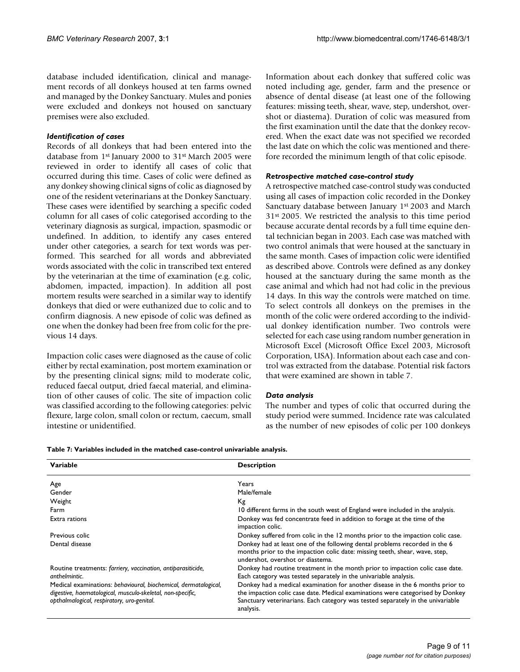database included identification, clinical and management records of all donkeys housed at ten farms owned and managed by the Donkey Sanctuary. Mules and ponies were excluded and donkeys not housed on sanctuary premises were also excluded.

#### *Identification of cases*

Records of all donkeys that had been entered into the database from 1st January 2000 to 31st March 2005 were reviewed in order to identify all cases of colic that occurred during this time. Cases of colic were defined as any donkey showing clinical signs of colic as diagnosed by one of the resident veterinarians at the Donkey Sanctuary. These cases were identified by searching a specific coded column for all cases of colic categorised according to the veterinary diagnosis as surgical, impaction, spasmodic or undefined. In addition, to identify any cases entered under other categories, a search for text words was performed. This searched for all words and abbreviated words associated with the colic in transcribed text entered by the veterinarian at the time of examination (e.g. colic, abdomen, impacted, impaction). In addition all post mortem results were searched in a similar way to identify donkeys that died or were euthanized due to colic and to confirm diagnosis. A new episode of colic was defined as one when the donkey had been free from colic for the previous 14 days.

Impaction colic cases were diagnosed as the cause of colic either by rectal examination, post mortem examination or by the presenting clinical signs; mild to moderate colic, reduced faecal output, dried faecal material, and elimination of other causes of colic. The site of impaction colic was classified according to the following categories: pelvic flexure, large colon, small colon or rectum, caecum, small intestine or unidentified.

Information about each donkey that suffered colic was noted including age, gender, farm and the presence or absence of dental disease (at least one of the following features: missing teeth, shear, wave, step, undershot, overshot or diastema). Duration of colic was measured from the first examination until the date that the donkey recovered. When the exact date was not specified we recorded the last date on which the colic was mentioned and therefore recorded the minimum length of that colic episode.

#### *Retrospective matched case-control study*

A retrospective matched case-control study was conducted using all cases of impaction colic recorded in the Donkey Sanctuary database between January 1st 2003 and March 31st 2005. We restricted the analysis to this time period because accurate dental records by a full time equine dental technician began in 2003. Each case was matched with two control animals that were housed at the sanctuary in the same month. Cases of impaction colic were identified as described above. Controls were defined as any donkey housed at the sanctuary during the same month as the case animal and which had not had colic in the previous 14 days. In this way the controls were matched on time. To select controls all donkeys on the premises in the month of the colic were ordered according to the individual donkey identification number. Two controls were selected for each case using random number generation in Microsoft Excel (Microsoft Office Excel 2003, Microsoft Corporation, USA). Information about each case and control was extracted from the database. Potential risk factors that were examined are shown in table 7.

### *Data analysis*

The number and types of colic that occurred during the study period were summed. Incidence rate was calculated as the number of new episodes of colic per 100 donkeys

| Table 7: Variables included in the matched case-control univariable analysis. |  |
|-------------------------------------------------------------------------------|--|
|-------------------------------------------------------------------------------|--|

| Variable                                                                                                                                                                    | <b>Description</b>                                                                                                                                                                                                                                              |
|-----------------------------------------------------------------------------------------------------------------------------------------------------------------------------|-----------------------------------------------------------------------------------------------------------------------------------------------------------------------------------------------------------------------------------------------------------------|
| Age                                                                                                                                                                         | Years                                                                                                                                                                                                                                                           |
| Gender                                                                                                                                                                      | Male/female                                                                                                                                                                                                                                                     |
| Weight                                                                                                                                                                      | Кg                                                                                                                                                                                                                                                              |
| Farm                                                                                                                                                                        | 10 different farms in the south west of England were included in the analysis.                                                                                                                                                                                  |
| Extra rations                                                                                                                                                               | Donkey was fed concentrate feed in addition to forage at the time of the<br>impaction colic.                                                                                                                                                                    |
| Previous colic                                                                                                                                                              | Donkey suffered from colic in the 12 months prior to the impaction colic case.                                                                                                                                                                                  |
| Dental disease                                                                                                                                                              | Donkey had at least one of the following dental problems recorded in the 6<br>months prior to the impaction colic date: missing teeth, shear, wave, step,<br>undershot, overshot or diastema.                                                                   |
| Routine treatments: farriery, vaccination, antiparasiticide,<br>anthelmintic.                                                                                               | Donkey had routine treatment in the month prior to impaction colic case date.<br>Each category was tested separately in the univariable analysis.                                                                                                               |
| Medical examinations: behavioural, biochemical, dermatalogical,<br>digestive, haematological, musculo-skeletal, non-specific,<br>opthalmalogical, respiratory, uro-genital. | Donkey had a medical examination for another disease in the 6 months prior to<br>the impaction colic case date. Medical examinations were categorised by Donkey<br>Sanctuary veterinarians. Each category was tested separately in the univariable<br>analysis. |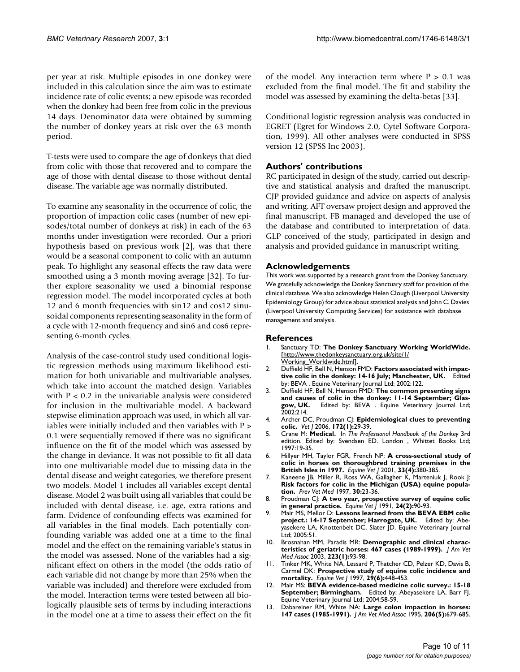per year at risk. Multiple episodes in one donkey were included in this calculation since the aim was to estimate incidence rate of colic events; a new episode was recorded when the donkey had been free from colic in the previous 14 days. Denominator data were obtained by summing the number of donkey years at risk over the 63 month period.

T-tests were used to compare the age of donkeys that died from colic with those that recovered and to compare the age of those with dental disease to those without dental disease. The variable age was normally distributed.

To examine any seasonality in the occurrence of colic, the proportion of impaction colic cases (number of new episodes/total number of donkeys at risk) in each of the 63 months under investigation were recorded. Our a priori hypothesis based on previous work [2], was that there would be a seasonal component to colic with an autumn peak. To highlight any seasonal effects the raw data were smoothed using a 3 month moving average [32]. To further explore seasonality we used a binomial response regression model. The model incorporated cycles at both 12 and 6 month frequencies with sin12 and cos12 sinusoidal components representing seasonality in the form of a cycle with 12-month frequency and sin6 and cos6 representing 6-month cycles.

Analysis of the case-control study used conditional logistic regression methods using maximum likelihood estimation for both univariable and multivariable analyses, which take into account the matched design. Variables with  $P < 0.2$  in the univariable analysis were considered for inclusion in the multivariable model. A backward stepwise elimination approach was used, in which all variables were initially included and then variables with P > 0.1 were sequentially removed if there was no significant influence on the fit of the model which was assessed by the change in deviance. It was not possible to fit all data into one multivariable model due to missing data in the dental disease and weight categories, we therefore present two models. Model 1 includes all variables except dental disease. Model 2 was built using all variables that could be included with dental disease, i.e. age, extra rations and farm. Evidence of confounding effects was examined for all variables in the final models. Each potentially confounding variable was added one at a time to the final model and the effect on the remaining variable's status in the model was assessed. None of the variables had a significant effect on others in the model (the odds ratio of each variable did not change by more than 25% when the variable was included) and therefore were excluded from the model. Interaction terms were tested between all biologically plausible sets of terms by including interactions in the model one at a time to assess their effect on the fit of the model. Any interaction term where  $P > 0.1$  was excluded from the final model. The fit and stability the model was assessed by examining the delta-betas [33].

Conditional logistic regression analysis was conducted in EGRET (Egret for Windows 2.0, Cytel Software Corporation, 1999). All other analyses were conducted in SPSS version 12 (SPSS Inc 2003).

#### **Authors' contributions**

RC participated in design of the study, carried out descriptive and statistical analysis and drafted the manuscript. CJP provided guidance and advice on aspects of analysis and writing. AFT oversaw project design and approved the final manuscript. FB managed and developed the use of the database and contributed to interpretation of data. GLP conceived of the study, participated in design and analysis and provided guidance in manuscript writing.

#### **Acknowledgements**

This work was supported by a research grant from the Donkey Sanctuary. We gratefully acknowledge the Donkey Sanctuary staff for provision of the clinical database. We also acknowledge Helen Clough (Liverpool University Epidemiology Group) for advice about statistical analysis and John C. Davies (Liverpool University Computing Services) for assistance with database management and analysis.

#### **References**

- 1. Sanctuary TD: **The Donkey Sanctuary Working WorldWide.** [[http://www.thedonkeysanctuary.org.uk/site/1/](http://www.thedonkeysanctuary.org.uk/site/1/Working_Worldwide.html) Working Worldwide.html].
- 2. Duffield HF, Bell N, Henson FMD: **Factors associated with impactive colic in the donkey: 14-16 July; Manchester, UK.** Edited by: BEVA . Equine Veterinary Journal Ltd; 2002:122.
- 3. Duffield HF, Bell N, Henson FMD: **The common presenting signs** and causes of colic in the donkey: 11-14 September; Glas-<br>gow, UK. Edited by: BEVA . Equine Veterinary Journal Ltd; Edited by: BEVA . Equine Veterinary Journal Ltd; 2002:214.
- 4. Archer DC, Proudman CJ: **[Epidemiological clues to preventing](http://www.ncbi.nlm.nih.gov/entrez/query.fcgi?cmd=Retrieve&db=PubMed&dopt=Abstract&list_uids=15939639) [colic.](http://www.ncbi.nlm.nih.gov/entrez/query.fcgi?cmd=Retrieve&db=PubMed&dopt=Abstract&list_uids=15939639)** *Vet J* 2006, **172(1):**29-39.
- 5. Crane M: **Medical.** In *The Professional Handbook of the Donkey* 3rd edition. Edited by: Svendsen ED. London , Whittet Books Ltd; 1997:19-35.
- 6. Hillyer MH, Taylor FGR, French NP: **[A cross-sectional study of](http://www.ncbi.nlm.nih.gov/entrez/query.fcgi?cmd=Retrieve&db=PubMed&dopt=Abstract&list_uids=11469771) [colic in horses on thoroughbred training premises in the](http://www.ncbi.nlm.nih.gov/entrez/query.fcgi?cmd=Retrieve&db=PubMed&dopt=Abstract&list_uids=11469771) [British Isles in 1997.](http://www.ncbi.nlm.nih.gov/entrez/query.fcgi?cmd=Retrieve&db=PubMed&dopt=Abstract&list_uids=11469771)** *Equine Vet J* 2001, **33(4):**380-385.
- 7. Kaneene JB, Miller R, Ross WA, Gallagher K, Marteniuk J, Rook J: **[Risk factors for colic in the Michigan \(USA\) equine popula](http://www.ncbi.nlm.nih.gov/entrez/query.fcgi?cmd=Retrieve&db=PubMed&dopt=Abstract&list_uids=9234409)[tion.](http://www.ncbi.nlm.nih.gov/entrez/query.fcgi?cmd=Retrieve&db=PubMed&dopt=Abstract&list_uids=9234409)** *Prev Vet Med* 1997, **30:**23-36.
- 8. Proudman C|: A two year, prospective survey of equine colic **in general practice.** *Equine Vet J* 1991, **24(2):**90-93.
- 9. Mair MS, Mellor D: **[Lessons learned from the BEVA EBM colic](http://www.ncbi.nlm.nih.gov/entrez/query.fcgi?cmd=Retrieve&db=PubMed&dopt=Abstract&list_uids=16035993) [project.: 14-17 September; Harrogate, UK.](http://www.ncbi.nlm.nih.gov/entrez/query.fcgi?cmd=Retrieve&db=PubMed&dopt=Abstract&list_uids=16035993)** Edited by: Abeyasekere LA, Knottenbelt DC, Slater JD. Equine Veterinary Journal Ltd; 2005:51.
- 10. Brosnahan MM, Paradis MR: **[Demographic and clinical charac](http://www.ncbi.nlm.nih.gov/entrez/query.fcgi?cmd=Retrieve&db=PubMed&dopt=Abstract&list_uids=12839071)[teristics of geriatric horses: 467 cases \(1989-1999\).](http://www.ncbi.nlm.nih.gov/entrez/query.fcgi?cmd=Retrieve&db=PubMed&dopt=Abstract&list_uids=12839071)** *J Am Vet Med Assoc* 2003, **223(1):**93-98.
- 11. Tinker MK, White NA, Lessard P, Thatcher CD, Pelzer KD, Davis B, Carmel DK: **[Prospective study of equine colic incidence and](http://www.ncbi.nlm.nih.gov/entrez/query.fcgi?cmd=Retrieve&db=PubMed&dopt=Abstract&list_uids=9413717) [mortality.](http://www.ncbi.nlm.nih.gov/entrez/query.fcgi?cmd=Retrieve&db=PubMed&dopt=Abstract&list_uids=9413717)** *Equine Vet J* 1997, **29(6):**448-453.
- 12. Mair MS: **BEVA evidence-based medicine colic survey.: 15-18 September; Birmingham.** Edited by: Abeyasekere LA, Barr FJ. Equine Veterinary Journal Ltd; 2004:58-59.
- 13. Dabareiner RM, White NA: **[Large colon impaction in horses:](http://www.ncbi.nlm.nih.gov/entrez/query.fcgi?cmd=Retrieve&db=PubMed&dopt=Abstract&list_uids=7744691) [147 cases \(1985-1991\).](http://www.ncbi.nlm.nih.gov/entrez/query.fcgi?cmd=Retrieve&db=PubMed&dopt=Abstract&list_uids=7744691)** *J Am Vet Med Assoc* 1995, **206(5):**679-685.